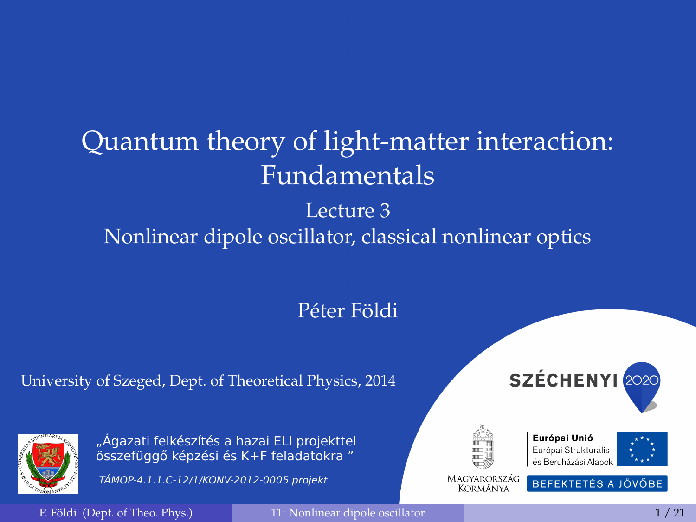# <span id="page-0-0"></span>Quantum theory of light-matter interaction: Fundamentals

# Lecture 3 Nonlinear dipole oscillator, classical nonlinear optics

### Péter Földi

#### University of Szeged, Dept. of Theoretical Physics, 2014



TÁMOP-4.1.1.C-12/1/KONV-2012-0005 projekt







Európai Unió Európai Strukturális és Beruházási Alapok



MAGYARORSZÁG BEFEKTETÉS A JÖVŐBE Kormánya

P. Földi (Dept. of Theo. Phys.) [11: Nonlinear dipole oscillator](#page-20-0) 1 / 21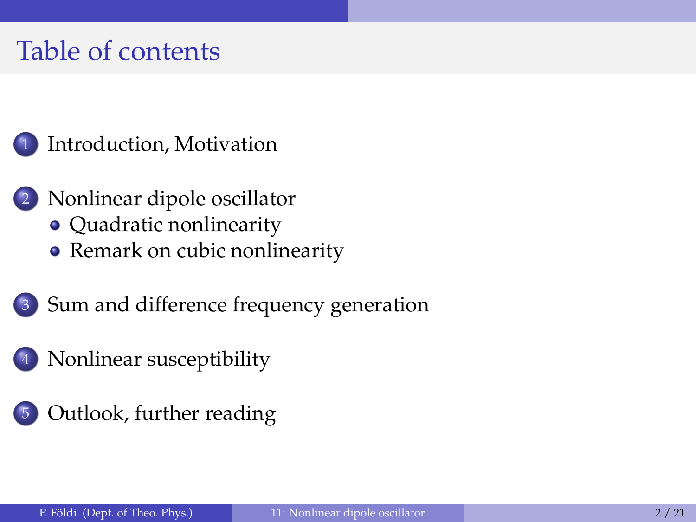# Table of contents

# [Introduction, Motivation](#page-2-0)

- [Nonlinear dipole oscillator](#page-4-0)
	- [Quadratic nonlinearity](#page-5-0)
	- [Remark on cubic nonlinearity](#page-8-0)
- 3 [Sum and difference frequency generation](#page-9-0)
- 4 [Nonlinear susceptibility](#page-14-0)
- 5 [Outlook, further reading](#page-17-0)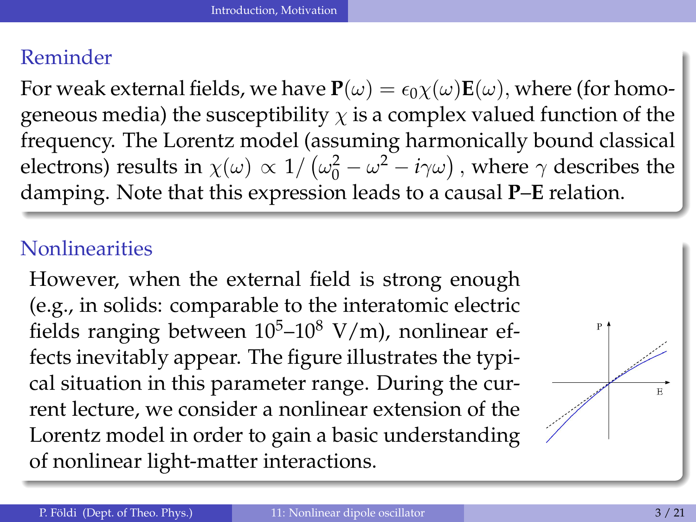### <span id="page-2-0"></span>Reminder

For weak external fields, we have  $P(\omega) = \epsilon_0 \chi(\omega) E(\omega)$ , where (for homogeneous media) the susceptibility  $\chi$  is a complex valued function of the frequency. The Lorentz model (assuming harmonically bound classical electrons) results in  $\chi(\omega) \propto 1/\left(\omega_0^2 - \omega^2 - i\gamma\omega\right)$ , where  $\gamma$  describes the damping. Note that this expression leads to a causal **P**–**E** relation.

#### **Nonlinearities**

However, when the external field is strong enough (e.g., in solids: comparable to the interatomic electric fields ranging between  $10^5$ – $10^8$  V/m), nonlinear effects inevitably appear. The figure illustrates the typical situation in this parameter range. During the current lecture, we consider a nonlinear extension of the Lorentz model in order to gain a basic understanding of nonlinear light-matter interactions.

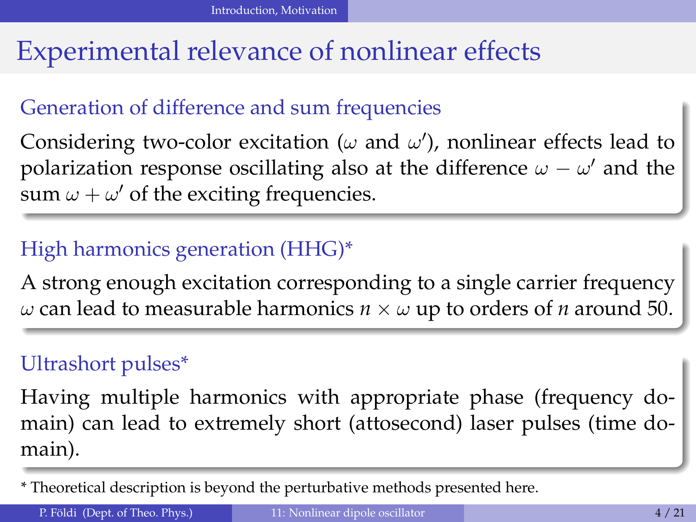# <span id="page-3-0"></span>Experimental relevance of nonlinear effects

# Generation of difference and sum frequencies

Considering two-color excitation ( $\omega$  and  $\omega'$ ), nonlinear effects lead to polarization response oscillating also at the difference  $\omega - \omega'$  and the sum  $\omega + \omega'$  of the exciting frequencies.

### High harmonics generation (HHG)\*

A strong enough excitation corresponding to a single carrier frequency ω can lead to measurable harmonics *n* × ω up to orders of *n* around 50.

#### Ultrashort pulses\*

Having multiple harmonics with appropriate phase (frequency domain) can lead to extremely short (attosecond) laser pulses (time domain).

\* Theoretical description is beyond the perturbative methods presented here.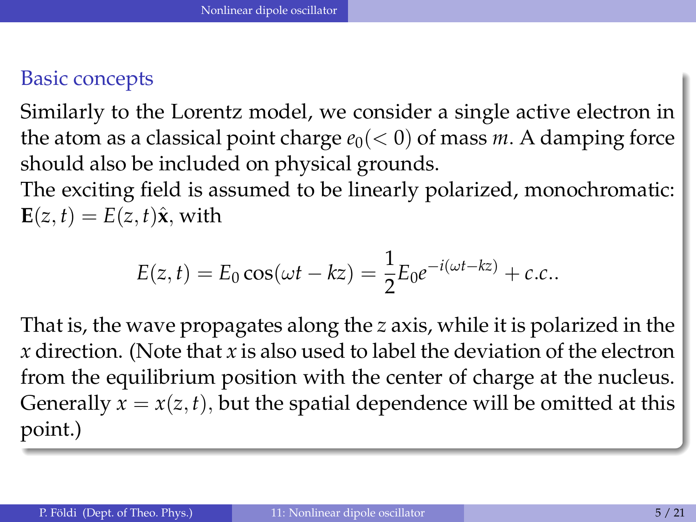#### <span id="page-4-0"></span>Basic concepts

Similarly to the Lorentz model, we consider a single active electron in the atom as a classical point charge  $e_0 \, \langle \, 0 \rangle$  of mass *m*. A damping force should also be included on physical grounds.

The exciting field is assumed to be linearly polarized, monochromatic:  $E(z, t) = E(z, t)\hat{x}$ , with

$$
E(z, t) = E_0 \cos(\omega t - kz) = \frac{1}{2} E_0 e^{-i(\omega t - kz)} + c.c.
$$

That is, the wave propagates along the *z* axis, while it is polarized in the *x* direction. (Note that *x* is also used to label the deviation of the electron from the equilibrium position with the center of charge at the nucleus. Generally  $x = x(z, t)$ , but the spatial dependence will be omitted at this point.)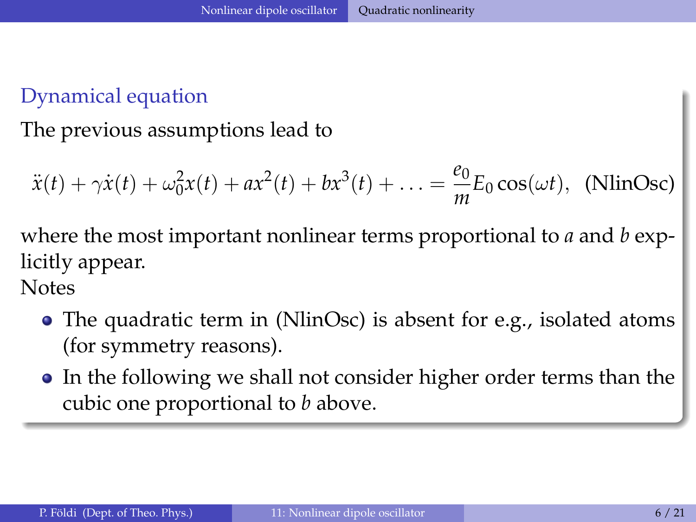# <span id="page-5-0"></span>Dynamical equation

The previous assumptions lead to

<span id="page-5-1"></span>
$$
\ddot{x}(t) + \gamma \dot{x}(t) + \omega_0^2 x(t) + a x^2(t) + b x^3(t) + \ldots = \frac{e_0}{m} E_0 \cos(\omega t), \text{ (NlinOsc)}
$$

where the most important nonlinear terms proportional to *a* and *b* explicitly appear.

**Notes** 

- The quadratic term in [\(NlinOsc\)](#page-5-1) is absent for e.g., isolated atoms (for symmetry reasons).
- In the following we shall not consider higher order terms than the cubic one proportional to *b* above.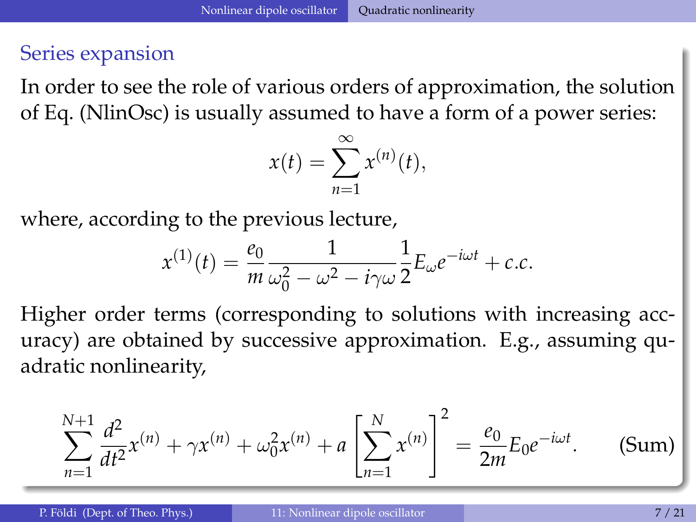#### <span id="page-6-0"></span>Series expansion

In order to see the role of various orders of approximation, the solution of Eq. [\(NlinOsc\)](#page-5-1) is usually assumed to have a form of a power series:

<span id="page-6-1"></span>
$$
x(t) = \sum_{n=1}^{\infty} x^{(n)}(t),
$$

where, according to the previous lecture,

$$
x^{(1)}(t) = \frac{e_0}{m} \frac{1}{\omega_0^2 - \omega^2 - i\gamma\omega} \frac{1}{2} E_{\omega} e^{-i\omega t} + c.c.
$$

Higher order terms (corresponding to solutions with increasing accuracy) are obtained by successive approximation. E.g., assuming quadratic nonlinearity,

$$
\sum_{n=1}^{N+1} \frac{d^2}{dt^2} x^{(n)} + \gamma x^{(n)} + \omega_0^2 x^{(n)} + a \left[ \sum_{n=1}^N x^{(n)} \right]^2 = \frac{e_0}{2m} E_0 e^{-i\omega t}.
$$
 (Sum)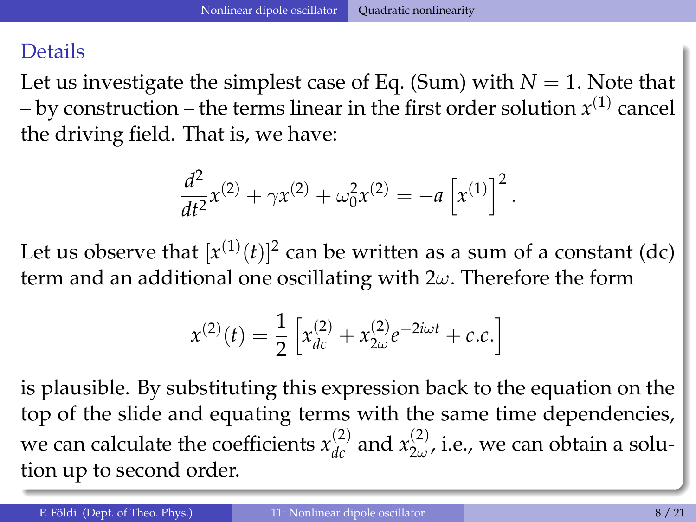#### <span id="page-7-0"></span>Details

Let us investigate the simplest case of Eq. [\(Sum\)](#page-6-1) with  $N = 1$ . Note that  $-$  by construction  $-$  the terms linear in the first order solution  $x^{(1)}$  cancel the driving field. That is, we have:

$$
\frac{d^2}{dt^2}x^{(2)} + \gamma x^{(2)} + \omega_0^2 x^{(2)} = -a \left[x^{(1)}\right]^2.
$$

Let us observe that  $[x^{(1)}(t)]^2$  can be written as a sum of a constant (dc) term and an additional one oscillating with  $2\omega$ . Therefore the form

$$
x^{(2)}(t) = \frac{1}{2} \left[ x_{dc}^{(2)} + x_{2\omega}^{(2)} e^{-2i\omega t} + c.c. \right]
$$

is plausible. By substituting this expression back to the equation on the top of the slide and equating terms with the same time dependencies, we can calculate the coefficients  $x_{dc}^{(2)}$  and  $x_{2\omega}^{(2)}$  $\sum_{2\omega}^{(2)}$ , i.e., we can obtain a solution up to second order.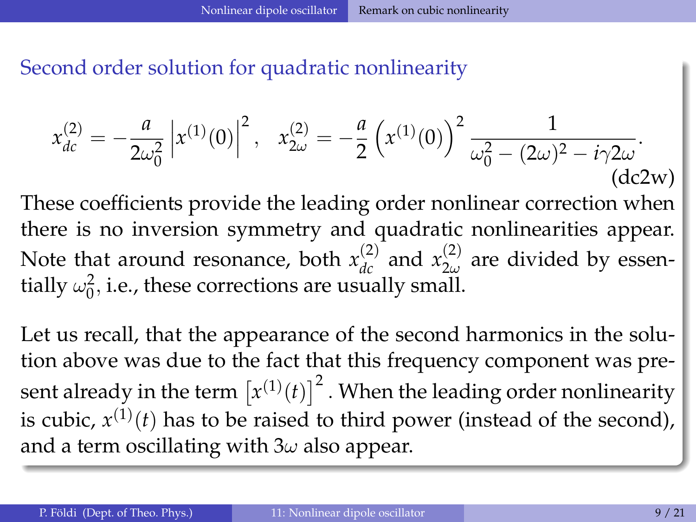<span id="page-8-0"></span>Second order solution for quadratic nonlinearity

<span id="page-8-1"></span>
$$
x_{dc}^{(2)} = -\frac{a}{2\omega_0^2} \left| x^{(1)}(0) \right|^2, \quad x_{2\omega}^{(2)} = -\frac{a}{2} \left( x^{(1)}(0) \right)^2 \frac{1}{\omega_0^2 - (2\omega)^2 - i\gamma 2\omega}.
$$
\n(dc2w)

These coefficients provide the leading order nonlinear correction when there is no inversion symmetry and quadratic nonlinearities appear. Note that around resonance, both  $x_{dc}^{(2)}$  and  $x_{2\omega}^{(2)}$  $\sum_{2\omega}^{(2)}$  are divided by essentially  $\omega_0^2$ , i.e., these corrections are usually small.

Let us recall, that the appearance of the second harmonics in the solution above was due to the fact that this frequency component was present already in the term  $\left[x^{(1)}(t)\right]^2$  . When the leading order nonlinearity is cubic,  $x^{(1)}(t)$  has to be raised to third power (instead of the second), and a term oscillating with  $3\omega$  also appear.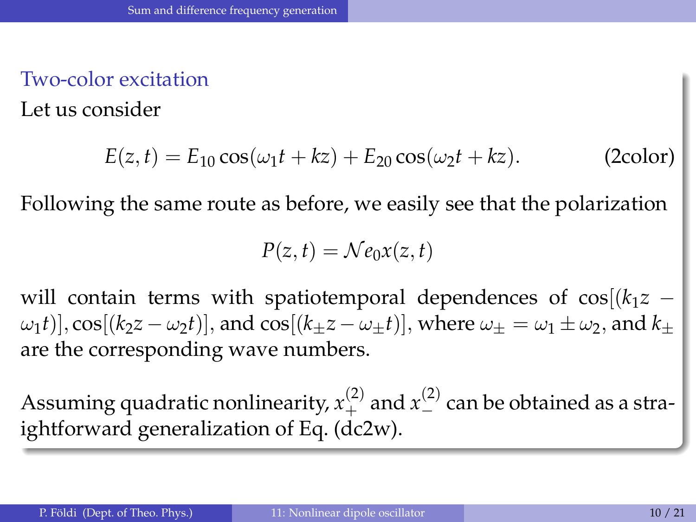### <span id="page-9-0"></span>Two-color excitation

Let us consider

$$
E(z, t) = E_{10} \cos(\omega_1 t + kz) + E_{20} \cos(\omega_2 t + kz).
$$
 (2color)

Following the same route as before, we easily see that the polarization

<span id="page-9-1"></span>
$$
P(z,t) = \mathcal{N}e_0x(z,t)
$$

will contain terms with spatiotemporal dependences of  $cos[(k_1z \omega_1(t)$ ],  $\cos[(k_2z - \omega_2t)]$ , and  $\cos[(k_2z - \omega_1t)]$ , where  $\omega_\pm = \omega_1 \pm \omega_2$ , and  $k_\pm$ are the corresponding wave numbers.

Assuming quadratic nonlinearity,  $x^{(2)}_+$  and  $x^{(2)}_-$  can be obtained as a straightforward generalization of Eq. [\(dc2w\)](#page-8-1).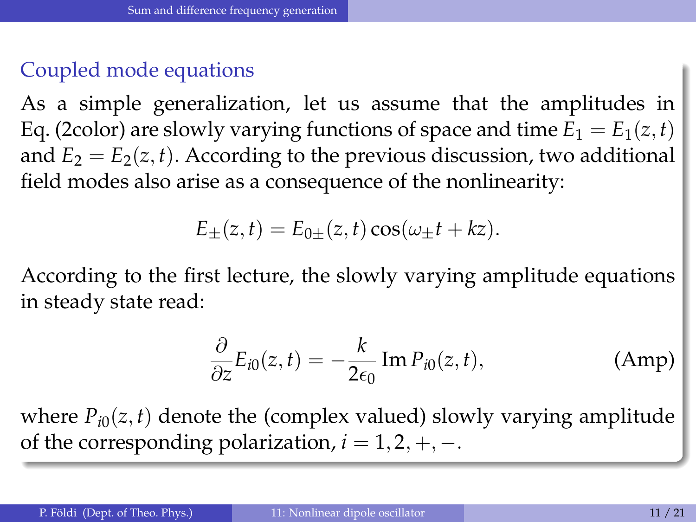# <span id="page-10-0"></span>Coupled mode equations

As a simple generalization, let us assume that the amplitudes in Eq. [\(2color\)](#page-9-1) are slowly varying functions of space and time  $E_1 = E_1(z, t)$ and  $E_2 = E_2(z, t)$ . According to the previous discussion, two additional field modes also arise as a consequence of the nonlinearity:

$$
E_{\pm}(z,t) = E_{0\pm}(z,t)\cos(\omega_{\pm}t + kz).
$$

According to the first lecture, the slowly varying amplitude equations in steady state read:

<span id="page-10-1"></span>
$$
\frac{\partial}{\partial z}E_{i0}(z,t) = -\frac{k}{2\epsilon_0} \operatorname{Im} P_{i0}(z,t), \tag{Amp}
$$

where  $P_{i0}(z, t)$  denote the (complex valued) slowly varying amplitude of the corresponding polarization,  $i = 1, 2, +, -$ .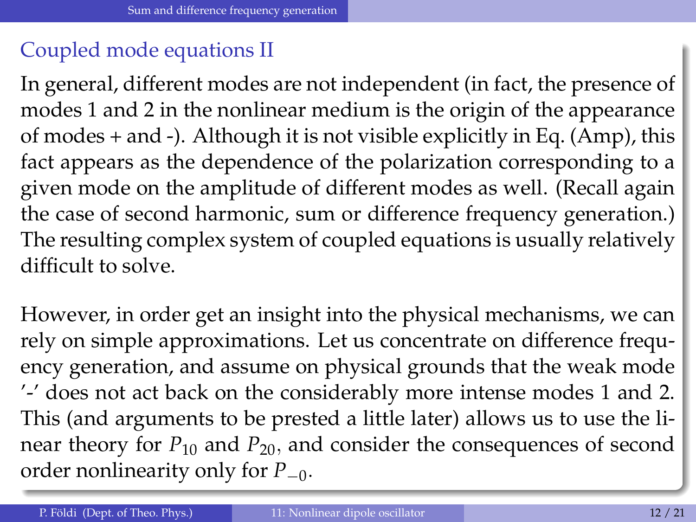# <span id="page-11-0"></span>Coupled mode equations II

In general, different modes are not independent (in fact, the presence of modes 1 and 2 in the nonlinear medium is the origin of the appearance of modes + and -). Although it is not visible explicitly in Eq. [\(Amp\)](#page-10-1), this fact appears as the dependence of the polarization corresponding to a given mode on the amplitude of different modes as well. (Recall again the case of second harmonic, sum or difference frequency generation.) The resulting complex system of coupled equations is usually relatively difficult to solve.

However, in order get an insight into the physical mechanisms, we can rely on simple approximations. Let us concentrate on difference frequency generation, and assume on physical grounds that the weak mode '-' does not act back on the considerably more intense modes 1 and 2. This (and arguments to be prested a little later) allows us to use the linear theory for  $P_{10}$  and  $P_{20}$ , and consider the consequences of second order nonlinearity only for *P*−0.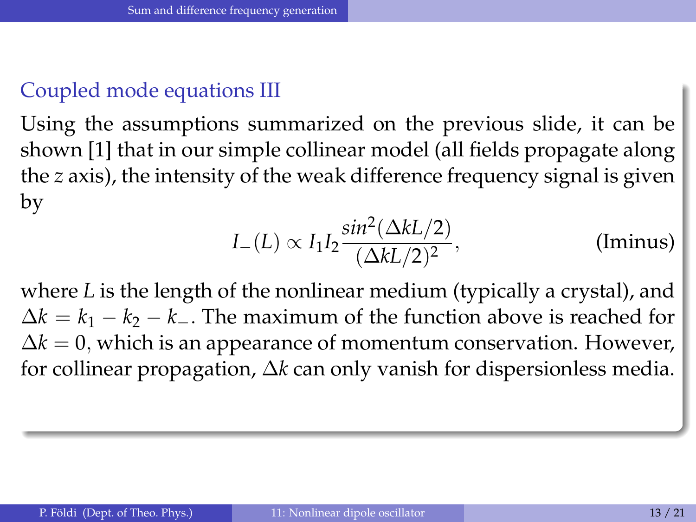### <span id="page-12-0"></span>Coupled mode equations III

Using the assumptions summarized on the previous slide, it can be shown [1] that in our simple collinear model (all fields propagate along the *z* axis), the intensity of the weak difference frequency signal is given by

<span id="page-12-1"></span>
$$
I_{-}(L) \propto I_1 I_2 \frac{\sin^2(\Delta k L/2)}{(\Delta k L/2)^2},
$$
 (Iminus)

where *L* is the length of the nonlinear medium (typically a crystal), and  $\Delta k = k_1 - k_2 - k_$ . The maximum of the function above is reached for  $\Delta k = 0$ , which is an appearance of momentum conservation. However, for collinear propagation, ∆*k* can only vanish for dispersionless media.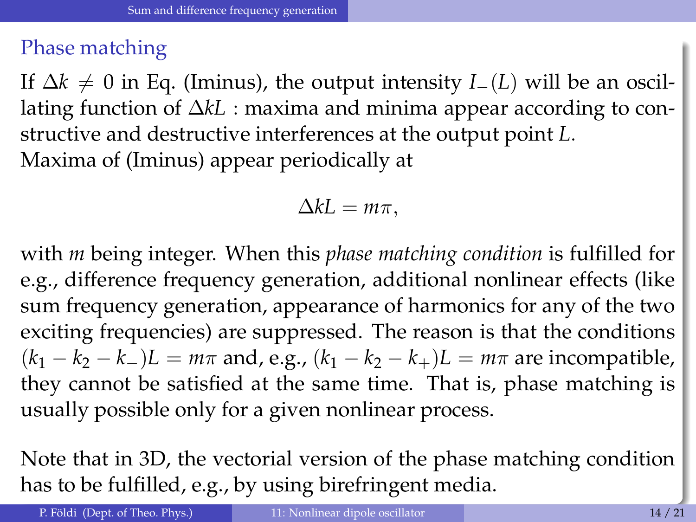#### <span id="page-13-0"></span>Phase matching

If  $\Delta k \neq 0$  in Eq. [\(Iminus\)](#page-12-1), the output intensity *I*<sub>−</sub>(*L*) will be an oscillating function of ∆*kL* : maxima and minima appear according to constructive and destructive interferences at the output point *L*. Maxima of [\(Iminus\)](#page-12-1) appear periodically at

$$
\Delta kL = m\pi,
$$

with *m* being integer. When this *phase matching condition* is fulfilled for e.g., difference frequency generation, additional nonlinear effects (like sum frequency generation, appearance of harmonics for any of the two exciting frequencies) are suppressed. The reason is that the conditions  $(k_1 - k_2 - k_)L = m\pi$  and, e.g.,  $(k_1 - k_2 - k_+)L = m\pi$  are incompatible, they cannot be satisfied at the same time. That is, phase matching is usually possible only for a given nonlinear process.

Note that in 3D, the vectorial version of the phase matching condition has to be fulfilled, e.g., by using birefringent media.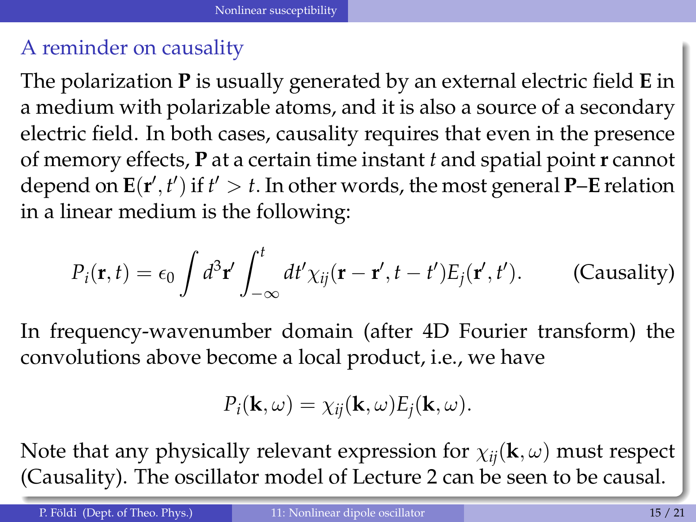### <span id="page-14-0"></span>A reminder on causality

The polarization **P** is usually generated by an external electric field **E** in a medium with polarizable atoms, and it is also a source of a secondary electric field. In both cases, causality requires that even in the presence of memory effects, **P** at a certain time instant *t* and spatial point **r** cannot depend on  $\mathbf{E}(\mathbf{r}', t')$  if  $t' > t$ . In other words, the most general **P**–**E** relation in a linear medium is the following:

$$
P_i(\mathbf{r},t) = \epsilon_0 \int d^3 \mathbf{r}' \int_{-\infty}^t dt' \chi_{ij}(\mathbf{r} - \mathbf{r}', t - t') E_j(\mathbf{r}', t'). \qquad \text{(Causality)}
$$

In frequency-wavenumber domain (after 4D Fourier transform) the convolutions above become a local product, i.e., we have

<span id="page-14-1"></span>
$$
P_i(\mathbf{k},\omega)=\chi_{ij}(\mathbf{k},\omega)E_j(\mathbf{k},\omega).
$$

Note that any physically relevant expression for  $\chi_{ij}(\mathbf{k}, \omega)$  must respect [\(Causality\)](#page-14-1). The oscillator model of Lecture 2 can be seen to be causal.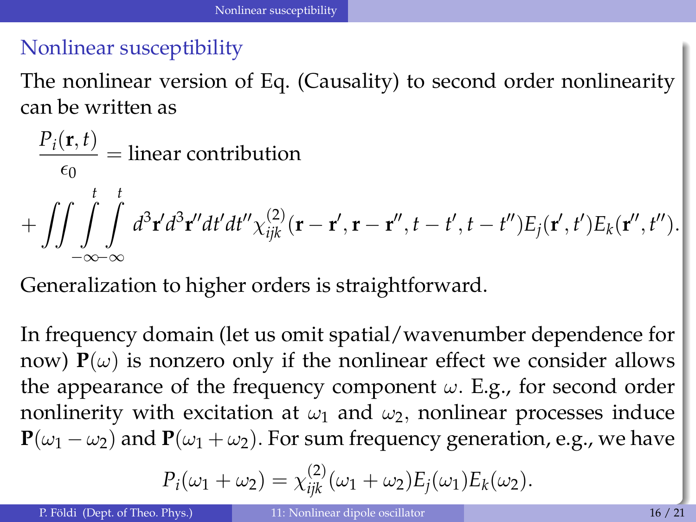### <span id="page-15-0"></span>Nonlinear susceptibility

The nonlinear version of Eq. [\(Causality\)](#page-14-1) to second order nonlinearity can be written as

$$
\frac{P_i(\mathbf{r},t)}{\epsilon_0} = \text{linear contribution}
$$
  
+ 
$$
\iint \int \int \int_{-\infty-\infty}^{t} \int_{-\infty}^{t} d^3 \mathbf{r}' d^3 \mathbf{r}'' dt' dt'' \chi_{ijk}^{(2)}(\mathbf{r} - \mathbf{r}', \mathbf{r} - \mathbf{r}'', t - t', t - t'') E_j(\mathbf{r}', t') E_k(\mathbf{r}'', t'').
$$

Generalization to higher orders is straightforward.

In frequency domain (let us omit spatial/wavenumber dependence for now)  $P(\omega)$  is nonzero only if the nonlinear effect we consider allows the appearance of the frequency component  $\omega$ . E.g., for second order nonlinerity with excitation at  $\omega_1$  and  $\omega_2$ , nonlinear processes induce  ${\bf P}(\omega_1 - \omega_2)$  and  ${\bf P}(\omega_1 + \omega_2)$ . For sum frequency generation, e.g., we have

$$
P_i(\omega_1 + \omega_2) = \chi_{ijk}^{(2)}(\omega_1 + \omega_2)E_j(\omega_1)E_k(\omega_2).
$$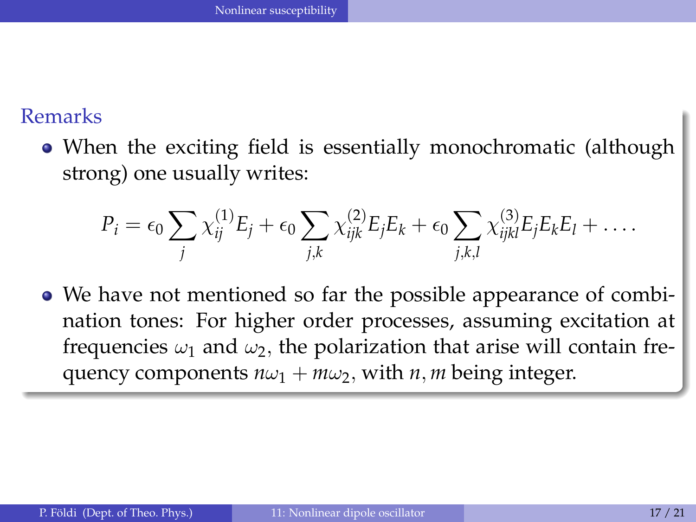#### <span id="page-16-0"></span>Remarks

When the exciting field is essentially monochromatic (although strong) one usually writes:

$$
P_i = \epsilon_0 \sum_j \chi_{ij}^{(1)} E_j + \epsilon_0 \sum_{j,k} \chi_{ijk}^{(2)} E_j E_k + \epsilon_0 \sum_{j,k,l} \chi_{ijkl}^{(3)} E_j E_k E_l + \ldots
$$

We have not mentioned so far the possible appearance of combination tones: For higher order processes, assuming excitation at frequencies  $\omega_1$  and  $\omega_2$ , the polarization that arise will contain frequency components  $n\omega_1 + m\omega_2$ , with *n*, *m* being integer.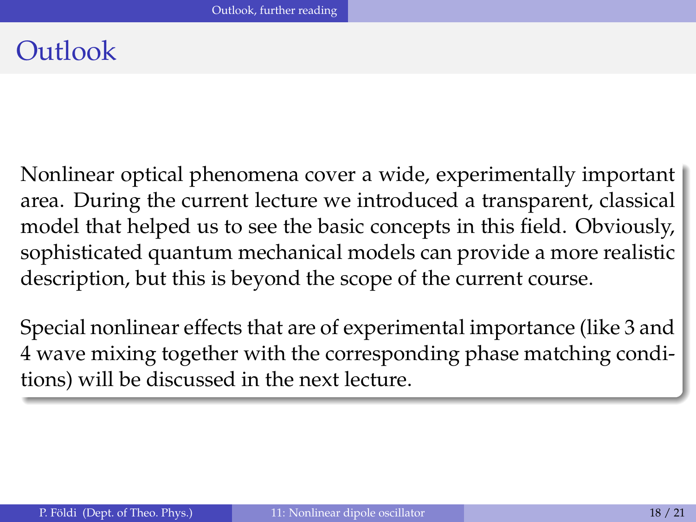# <span id="page-17-0"></span>**Outlook**

Nonlinear optical phenomena cover a wide, experimentally important area. During the current lecture we introduced a transparent, classical model that helped us to see the basic concepts in this field. Obviously, sophisticated quantum mechanical models can provide a more realistic description, but this is beyond the scope of the current course.

Special nonlinear effects that are of experimental importance (like 3 and 4 wave mixing together with the corresponding phase matching conditions) will be discussed in the next lecture.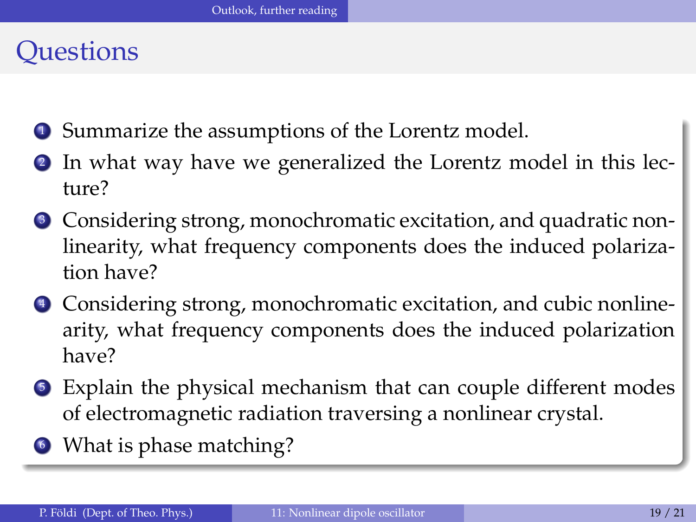# <span id="page-18-0"></span>**Ouestions**

- <sup>1</sup> Summarize the assumptions of the Lorentz model.
- <sup>2</sup> In what way have we generalized the Lorentz model in this lecture?
- <sup>3</sup> Considering strong, monochromatic excitation, and quadratic nonlinearity, what frequency components does the induced polarization have?
- <sup>4</sup> Considering strong, monochromatic excitation, and cubic nonlinearity, what frequency components does the induced polarization have?
- <sup>5</sup> Explain the physical mechanism that can couple different modes of electromagnetic radiation traversing a nonlinear crystal.
- <sup>6</sup> What is phase matching?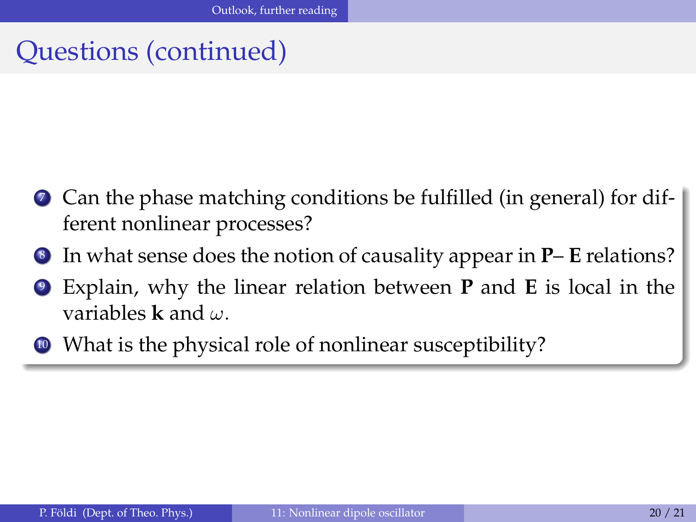# <span id="page-19-0"></span>Questions (continued)

- <sup>7</sup> Can the phase matching conditions be fulfilled (in general) for different nonlinear processes?
- <sup>8</sup> In what sense does the notion of causality appear in **P E** relations?
- Explain, why the linear relation between **P** and **E** is local in the variables **k** and ω.
- <sup>10</sup> What is the physical role of nonlinear susceptibility?